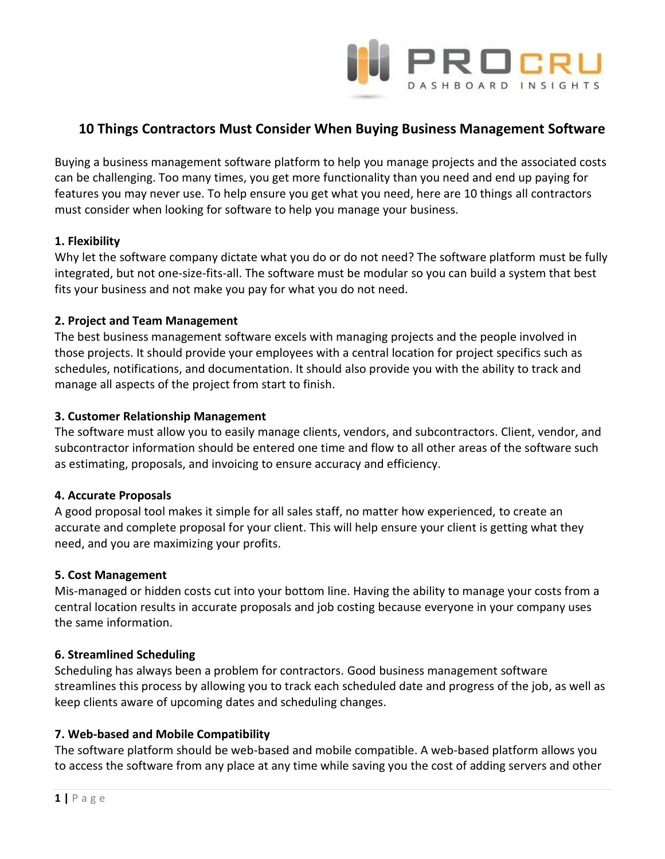

# **10 Things Contractors Must Consider When Buying Business Management Software**

Buying a business management software platform to help you manage projects and the associated costs can be challenging. Too many times, you get more functionality than you need and end up paying for features you may never use. To help ensure you get what you need, here are 10 things all contractors must consider when looking for software to help you manage your business.

# **1. Flexibility**

Why let the software company dictate what you do or do not need? The software platform must be fully integrated, but not one-size-fits-all. The software must be modular so you can build a system that best fits your business and not make you pay for what you do not need.

# **2. Project and Team Management**

The best business management software excels with managing projects and the people involved in those projects. It should provide your employees with a central location for project specifics such as schedules, notifications, and documentation. It should also provide you with the ability to track and manage all aspects of the project from start to finish.

# **3. Customer Relationship Management**

The software must allow you to easily manage clients, vendors, and subcontractors. Client, vendor, and subcontractor information should be entered one time and flow to all other areas of the software such as estimating, proposals, and invoicing to ensure accuracy and efficiency.

#### **4. Accurate Proposals**

A good proposal tool makes it simple for all sales staff, no matter how experienced, to create an accurate and complete proposal for your client. This will help ensure your client is getting what they need, and you are maximizing your profits.

#### **5. Cost Management**

Mis-managed or hidden costs cut into your bottom line. Having the ability to manage your costs from a central location results in accurate proposals and job costing because everyone in your company uses the same information.

#### **6. Streamlined Scheduling**

Scheduling has always been a problem for contractors. Good business management software streamlines this process by allowing you to track each scheduled date and progress of the job, as well as keep clients aware of upcoming dates and scheduling changes.

# **7. Web-based and Mobile Compatibility**

The software platform should be web-based and mobile compatible. A web-based platform allows you to access the software from any place at any time while saving you the cost of adding servers and other